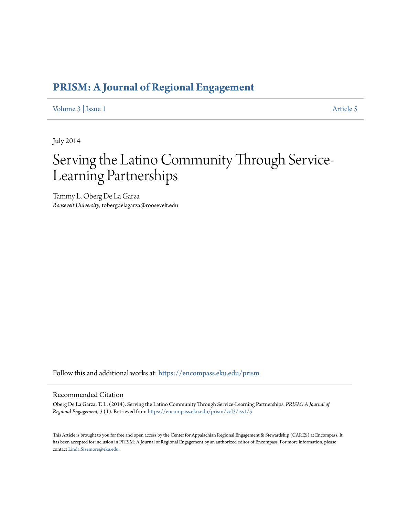[Volume 3](https://encompass.eku.edu/prism/vol3?utm_source=encompass.eku.edu%2Fprism%2Fvol3%2Fiss1%2F5&utm_medium=PDF&utm_campaign=PDFCoverPages) | [Issue 1](https://encompass.eku.edu/prism/vol3/iss1?utm_source=encompass.eku.edu%2Fprism%2Fvol3%2Fiss1%2F5&utm_medium=PDF&utm_campaign=PDFCoverPages) [Article 5](https://encompass.eku.edu/prism/vol3/iss1/5?utm_source=encompass.eku.edu%2Fprism%2Fvol3%2Fiss1%2F5&utm_medium=PDF&utm_campaign=PDFCoverPages)

July 2014

# Serving the Latino Community Through Service-Learning Partnerships

Tammy L. Oberg De La Garza *Roosevelt University*, tobergdelagarza@roosevelt.edu

Follow this and additional works at: [https://encompass.eku.edu/prism](https://encompass.eku.edu/prism?utm_source=encompass.eku.edu%2Fprism%2Fvol3%2Fiss1%2F5&utm_medium=PDF&utm_campaign=PDFCoverPages)

# Recommended Citation

Oberg De La Garza, T. L. (2014). Serving the Latino Community Through Service-Learning Partnerships. *PRISM: A Journal of Regional Engagement, 3* (1). Retrieved from [https://encompass.eku.edu/prism/vol3/iss1/5](https://encompass.eku.edu/prism/vol3/iss1/5?utm_source=encompass.eku.edu%2Fprism%2Fvol3%2Fiss1%2F5&utm_medium=PDF&utm_campaign=PDFCoverPages)

This Article is brought to you for free and open access by the Center for Appalachian Regional Engagement & Stewardship (CARES) at Encompass. It has been accepted for inclusion in PRISM: A Journal of Regional Engagement by an authorized editor of Encompass. For more information, please contact [Linda.Sizemore@eku.edu.](mailto:Linda.Sizemore@eku.edu)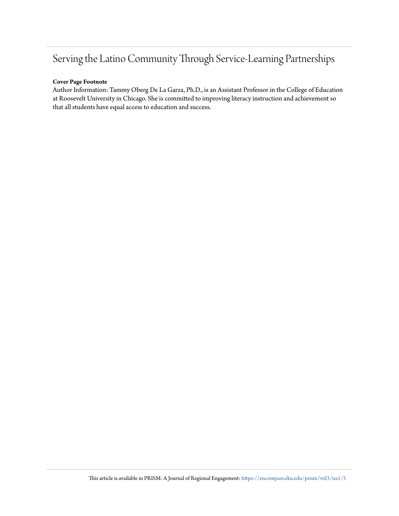# **Cover Page Footnote**

Author Information: Tammy Oberg De La Garza, Ph.D., is an Assistant Professor in the College of Education at Roosevelt University in Chicago. She is committed to improving literacy instruction and achievement so that all students have equal access to education and success.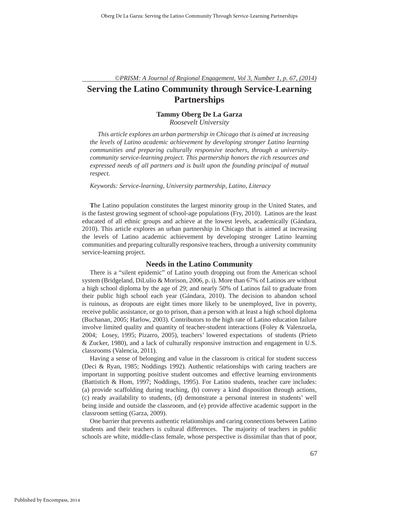# **Tammy Oberg De La Garza**

*Roosevelt University*

*This article explores an urban partnership in Chicago that is aimed at increasing the levels of Latino academic achievement by developing stronger Latino learning communities and preparing culturally responsive teachers, through a universitycommunity service-learning project. This partnership honors the rich resources and expressed needs of all partners and is built upon the founding principal of mutual respect.*

*Keywords: Service-learning, University partnership, Latino, Literacy*

**T**he Latino population constitutes the largest minority group in the United States, and is the fastest growing segment of school-age populations (Fry, 2010). Latinos are the least educated of all ethnic groups and achieve at the lowest levels, academically (Gándara, 2010). This article explores an urban partnership in Chicago that is aimed at increasing the levels of Latino academic achievement by developing stronger Latino learning communities and preparing culturally responsive teachers, through a university community service-learning project.

# **Needs in the Latino Community**

There is a "silent epidemic" of Latino youth dropping out from the American school system (Bridgeland, DiLulio & Morison, 2006, p. i). More than 67% of Latinos are without a high school diploma by the age of 29; and nearly 50% of Latinos fail to graduate from their public high school each year (Gándara, 2010). The decision to abandon school is ruinous, as dropouts are eight times more likely to be unemployed, live in poverty, receive public assistance, or go to prison, than a person with at least a high school diploma (Buchanan, 2005; Harlow, 2003). Contributors to the high rate of Latino education failure involve limited quality and quantity of teacher-student interactions (Foley & Valenzuela, 2004; Losey, 1995; Pizarro, 2005), teachers' lowered expectations of students (Prieto & Zucker, 1980), and a lack of culturally responsive instruction and engagement in U.S. classrooms (Valencia, 2011).

Having a sense of belonging and value in the classroom is critical for student success (Deci & Ryan, 1985; Noddings 1992). Authentic relationships with caring teachers are important in supporting positive student outcomes and effective learning environments (Battistich & Hom, 1997; Noddings, 1995). For Latino students, teacher care includes: (a) provide scaffolding during teaching, (b) convey a kind disposition through actions, (c) ready availability to students, (d) demonstrate a personal interest in students' well being inside and outside the classroom, and (e) provide affective academic support in the classroom setting (Garza, 2009).

One barrier that prevents authentic relationships and caring connections between Latino students and their teachers is cultural differences. The majority of teachers in public schools are white, middle-class female, whose perspective is dissimilar than that of poor,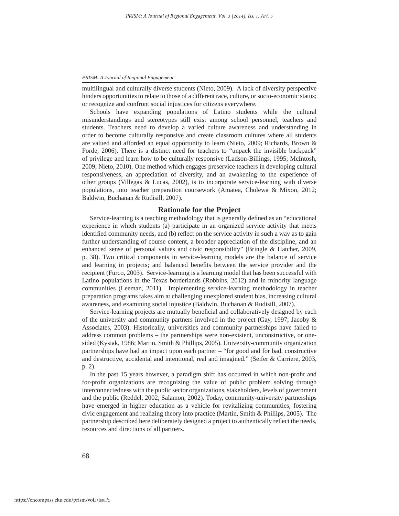multilingual and culturally diverse students (Nieto, 2009). A lack of diversity perspective hinders opportunities to relate to those of a different race, culture, or socio-economic status; or recognize and confront social injustices for citizens everywhere.

Schools have expanding populations of Latino students while the cultural misunderstandings and stereotypes still exist among school personnel, teachers and students. Teachers need to develop a varied culture awareness and understanding in order to become culturally responsive and create classroom cultures where all students are valued and afforded an equal opportunity to learn (Nieto, 2009; Richards, Brown & Forde, 2006). There is a distinct need for teachers to "unpack the invisible backpack" of privilege and learn how to be culturally responsive (Ladson-Billings, 1995; McIntosh, 2009; Nieto, 2010). One method which engages preservice teachers in developing cultural responsiveness, an appreciation of diversity, and an awakening to the experience of other groups (Villegas & Lucas, 2002), is to incorporate service-learning with diverse populations, into teacher preparation coursework (Amatea, Cholewa & Mixon, 2012; Baldwin, Buchanan & Rudisill, 2007).

# **Rationale for the Project**

Service-learning is a teaching methodology that is generally defined as an "educational experience in which students (a) participate in an organized service activity that meets identified community needs, and (b) reflect on the service activity in such a way as to gain further understanding of course content, a broader appreciation of the discipline, and an enhanced sense of personal values and civic responsibility" (Bringle & Hatcher, 2009, p. 38). Two critical components in service-learning models are the balance of service and learning in projects; and balanced benefits between the service provider and the recipient (Furco, 2003). Service-learning is a learning model that has been successful with Latino populations in the Texas borderlands (Robbins, 2012) and in minority language communities (Leeman, 2011). Implementing service-learning methodology in teacher preparation programs takes aim at challenging unexplored student bias, increasing cultural awareness, and examining social injustice (Baldwin, Buchanan & Rudisill, 2007).

Service-learning projects are mutually beneficial and collaboratively designed by each of the university and community partners involved in the project (Gay, 1997; Jacoby  $\&$ Associates, 2003). Historically, universities and community partnerships have failed to address common problems – the partnerships were non-existent, unconstructive, or onesided (Kysiak, 1986; Martin, Smith & Phillips, 2005). University-community organization partnerships have had an impact upon each partner – "for good and for bad, constructive and destructive, accidental and intentional, real and imagined." (Seifer & Carriere, 2003, p. 2).

In the past 15 years however, a paradigm shift has occurred in which non-profi t and for-profit organizations are recognizing the value of public problem solving through interconnectedness with the public sector organizations, stakeholders, levels of government and the public (Reddel, 2002; Salamon, 2002). Today, community-university partnerships have emerged in higher education as a vehicle for revitalizing communities, fostering civic engagement and realizing theory into practice (Martin, Smith & Phillips, 2005). The partnership described here deliberately designed a project to authentically reflect the needs, resources and directions of all partners.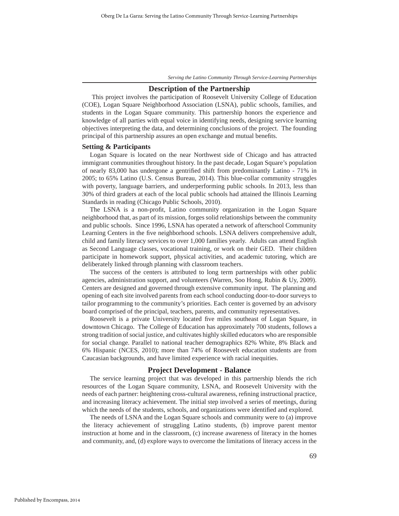# **Description of the Partnership**

 This project involves the participation of Roosevelt University College of Education (COE), Logan Square Neighborhood Association (LSNA), public schools, families, and students in the Logan Square community. This partnership honors the experience and knowledge of all parties with equal voice in identifying needs, designing service learning objectives interpreting the data, and determining conclusions of the project. The founding principal of this partnership assures an open exchange and mutual benefits.

# **Setting & Participants**

Logan Square is located on the near Northwest side of Chicago and has attracted immigrant communities throughout history. In the past decade, Logan Square's population of nearly 83,000 has undergone a gentrified shift from predominantly Latino - 71% in 2005; to 65% Latino (U.S. Census Bureau, 2014). This blue-collar community struggles with poverty, language barriers, and underperforming public schools. In 2013, less than 30% of third graders at each of the local public schools had attained the Illinois Learning Standards in reading (Chicago Public Schools, 2010).

The LSNA is a non-profit, Latino community organization in the Logan Square neighborhood that, as part of its mission, forges solid relationships between the community and public schools. Since 1996, LSNA has operated a network of afterschool Community Learning Centers in the five neighborhood schools. LSNA delivers comprehensive adult, child and family literacy services to over 1,000 families yearly. Adults can attend English as Second Language classes, vocational training, or work on their GED. Their children participate in homework support, physical activities, and academic tutoring, which are deliberately linked through planning with classroom teachers.

The success of the centers is attributed to long term partnerships with other public agencies, administration support, and volunteers (Warren, Soo Hong, Rubin & Uy, 2009). Centers are designed and governed through extensive community input. The planning and opening of each site involved parents from each school conducting door-to-door surveys to tailor programming to the community's priorities. Each center is governed by an advisory board comprised of the principal, teachers, parents, and community representatives.

Roosevelt is a private University located five miles southeast of Logan Square, in downtown Chicago. The College of Education has approximately 700 students, follows a strong tradition of social justice, and cultivates highly skilled educators who are responsible for social change. Parallel to national teacher demographics 82% White, 8% Black and 6% Hispanic (NCES, 2010); more than 74% of Roosevelt education students are from Caucasian backgrounds, and have limited experience with racial inequities.

# **Project Development - Balance**

The service learning project that was developed in this partnership blends the rich resources of the Logan Square community, LSNA, and Roosevelt University with the needs of each partner: heightening cross-cultural awareness, refining instructional practice, and increasing literacy achievement. The initial step involved a series of meetings, during which the needs of the students, schools, and organizations were identified and explored.

The needs of LSNA and the Logan Square schools and community were to (a) improve the literacy achievement of struggling Latino students, (b) improve parent mentor instruction at home and in the classroom, (c) increase awareness of literacy in the homes and community, and, (d) explore ways to overcome the limitations of literacy access in the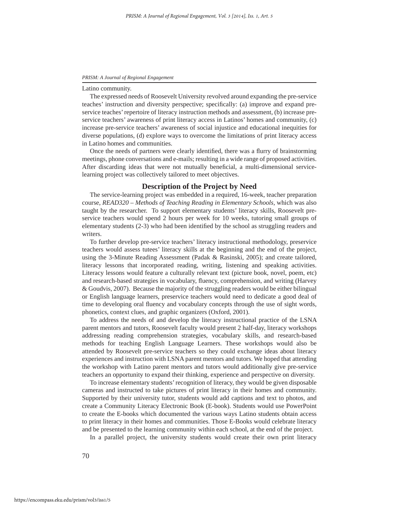#### Latino community.

The expressed needs of Roosevelt University revolved around expanding the pre-service teaches' instruction and diversity perspective; specifically: (a) improve and expand preservice teaches' repertoire of literacy instruction methods and assessment, (b) increase preservice teachers' awareness of print literacy access in Latinos' homes and community, (c) increase pre-service teachers' awareness of social injustice and educational inequities for diverse populations, (d) explore ways to overcome the limitations of print literacy access in Latino homes and communities.

Once the needs of partners were clearly identified, there was a flurry of brainstorming meetings, phone conversations and e-mails; resulting in a wide range of proposed activities. After discarding ideas that were not mutually beneficial, a multi-dimensional servicelearning project was collectively tailored to meet objectives.

# **Description of the Project by Need**

The service-learning project was embedded in a required, 16-week, teacher preparation course, *READ320 – Methods of Teaching Reading in Elementary Schools,* which was also taught by the researcher. To support elementary students' literacy skills, Roosevelt preservice teachers would spend 2 hours per week for 10 weeks, tutoring small groups of elementary students (2-3) who had been identified by the school as struggling readers and writers.

To further develop pre-service teachers' literacy instructional methodology, preservice teachers would assess tutees' literacy skills at the beginning and the end of the project, using the 3-Minute Reading Assessment (Padak & Rasinski, 2005); and create tailored, literacy lessons that incorporated reading, writing, listening and speaking activities. Literacy lessons would feature a culturally relevant text (picture book, novel, poem, etc) and research-based strategies in vocabulary, fluency, comprehension, and writing (Harvey & Goudvis, 2007). Because the majority of the struggling readers would be either bilingual or English language learners, preservice teachers would need to dedicate a good deal of time to developing oral fluency and vocabulary concepts through the use of sight words, phonetics, context clues, and graphic organizers (Oxford, 2001).

To address the needs of and develop the literacy instructional practice of the LSNA parent mentors and tutors, Roosevelt faculty would present 2 half-day, literacy workshops addressing reading comprehension strategies, vocabulary skills, and research-based methods for teaching English Language Learners. These workshops would also be attended by Roosevelt pre-service teachers so they could exchange ideas about literacy experiences and instruction with LSNA parent mentors and tutors. We hoped that attending the workshop with Latino parent mentors and tutors would additionally give pre-service teachers an opportunity to expand their thinking, experience and perspective on diversity.

To increase elementary students' recognition of literacy, they would be given disposable cameras and instructed to take pictures of print literacy in their homes and community. Supported by their university tutor, students would add captions and text to photos, and create a Community Literacy Electronic Book (E-book). Students would use PowerPoint to create the E-books which documented the various ways Latino students obtain access to print literacy in their homes and communities. Those E-Books would celebrate literacy and be presented to the learning community within each school, at the end of the project.

In a parallel project, the university students would create their own print literacy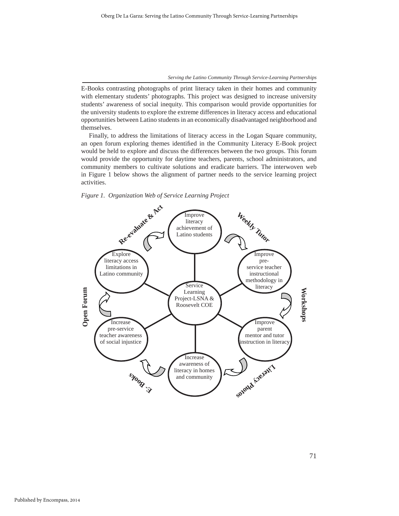E-Books contrasting photographs of print literacy taken in their homes and community with elementary students' photographs. This project was designed to increase university students' awareness of social inequity. This comparison would provide opportunities for the university students to explore the extreme differences in literacy access and educational opportunities between Latino students in an economically disadvantaged neighborhood and themselves.

Finally, to address the limitations of literacy access in the Logan Square community, an open forum exploring themes identified in the Community Literacy E-Book project would be held to explore and discuss the differences between the two groups. This forum would provide the opportunity for daytime teachers, parents, school administrators, and community members to cultivate solutions and eradicate barriers. The interwoven web in Figure 1 below shows the alignment of partner needs to the service learning project activities.

*Figure 1. Organization Web of Service Learning Project*

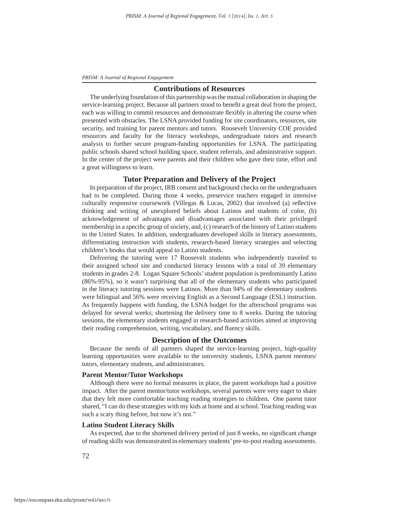# **Contributions of Resources**

The underlying foundation of this partnership was the mutual collaboration in shaping the service-learning project. Because all partners stood to benefi t a great deal from the project, each was willing to commit resources and demonstrate flexibly in altering the course when presented with obstacles. The LSNA provided funding for site coordinators, resources, site security, and training for parent mentors and tutors. Roosevelt University COE provided resources and faculty for the literacy workshops, undergraduate tutors and research analysis to further secure program-funding opportunities for LSNA. The participating public schools shared school building space, student referrals, and administrative support. In the center of the project were parents and their children who gave their time, effort and a great willingness to learn.

# **Tutor Preparation and Delivery of the Project**

In preparation of the project, IRB consent and background checks on the undergraduates had to be completed. During those 4 weeks, preservice teachers engaged in intensive culturally responsive coursework (Villegas  $& Lucas, 2002$ ) that involved (a) reflective thinking and writing of unexplored beliefs about Latinos and students of color, (b) acknowledgement of advantages and disadvantages associated with their privileged membership in a specific group of society, and, (c) research of the history of Latino students in the United States. In addition, undergraduates developed skills in literacy assessments, differentiating instruction with students, research-based literacy strategies and selecting children's books that would appeal to Latino students.

Delivering the tutoring were 17 Roosevelt students who independently traveled to their assigned school site and conducted literacy lessons with a total of 39 elementary students in grades 2-8. Logan Square Schools' student population is predominantly Latino (86%-95%), so it wasn't surprising that all of the elementary students who participated in the literacy tutoring sessions were Latinos. More than 94% of the elementary students were bilingual and 56% were receiving English as a Second Language (ESL) instruction. As frequently happens with funding, the LSNA budget for the afterschool programs was delayed for several weeks; shortening the delivery time to 8 weeks. During the tutoring sessions, the elementary students engaged in research-based activities aimed at improving their reading comprehension, writing, vocabulary, and fluency skills.

# **Description of the Outcomes**

Because the needs of all partners shaped the service-learning project, high-quality learning opportunities were available to the university students, LSNA parent mentors/ tutors, elementary students, and administrators.

# **Parent Mentor/Tutor Workshops**

Although there were no formal measures in place, the parent workshops had a positive impact. After the parent mentor/tutor workshops, several parents were very eager to share that they felt more comfortable teaching reading strategies to children**.** One parent tutor shared, "I can do these strategies with my kids at home and at school. Teaching reading was such a scary thing before, but now it's not."

## **Latino Student Literacy Skills**

As expected, due to the shortened delivery period of just 8 weeks, no significant change of reading skills was demonstrated in elementary students' pre-to-post reading assessments.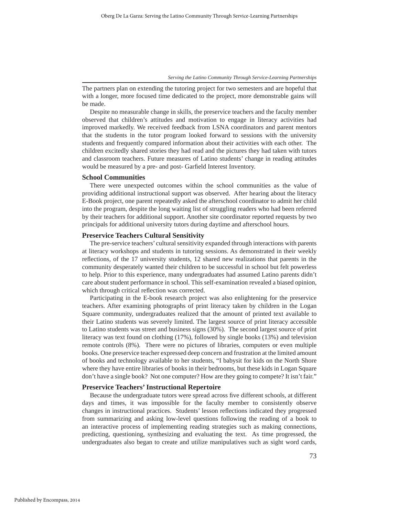The partners plan on extending the tutoring project for two semesters and are hopeful that with a longer, more focused time dedicated to the project, more demonstrable gains will be made.

Despite no measurable change in skills, the preservice teachers and the faculty member observed that children's attitudes and motivation to engage in literacy activities had improved markedly. We received feedback from LSNA coordinators and parent mentors that the students in the tutor program looked forward to sessions with the university students and frequently compared information about their activities with each other. The children excitedly shared stories they had read and the pictures they had taken with tutors and classroom teachers. Future measures of Latino students' change in reading attitudes would be measured by a pre- and post- Garfield Interest Inventory.

# **School Communities**

There were unexpected outcomes within the school communities as the value of providing additional instructional support was observed. After hearing about the literacy E-Book project, one parent repeatedly asked the afterschool coordinator to admit her child into the program, despite the long waiting list of struggling readers who had been referred by their teachers for additional support. Another site coordinator reported requests by two principals for additional university tutors during daytime and afterschool hours.

# **Preservice Teachers Cultural Sensitivity**

The pre-service teachers' cultural sensitivity expanded through interactions with parents at literacy workshops and students in tutoring sessions. As demonstrated in their weekly reflections, of the 17 university students, 12 shared new realizations that parents in the community desperately wanted their children to be successful in school but felt powerless to help. Prior to this experience, many undergraduates had assumed Latino parents didn't care about student performance in school. This self-examination revealed a biased opinion, which through critical reflection was corrected.

Participating in the E-book research project was also enlightening for the preservice teachers. After examining photographs of print literacy taken by children in the Logan Square community, undergraduates realized that the amount of printed text available to their Latino students was severely limited. The largest source of print literacy accessible to Latino students was street and business signs (30%). The second largest source of print literacy was text found on clothing (17%), followed by single books (13%) and television remote controls (8%). There were no pictures of libraries, computers or even multiple books. One preservice teacher expressed deep concern and frustration at the limited amount of books and technology available to her students, "I babysit for kids on the North Shore where they have entire libraries of books in their bedrooms, but these kids in Logan Square don't have a single book? Not one computer? How are they going to compete? It isn't fair."

# **Preservice Teachers' Instructional Repertoire**

Because the undergraduate tutors were spread across five different schools, at different days and times, it was impossible for the faculty member to consistently observe changes in instructional practices. Students' lesson reflections indicated they progressed from summarizing and asking low-level questions following the reading of a book to an interactive process of implementing reading strategies such as making connections, predicting, questioning, synthesizing and evaluating the text. As time progressed, the undergraduates also began to create and utilize manipulatives such as sight word cards,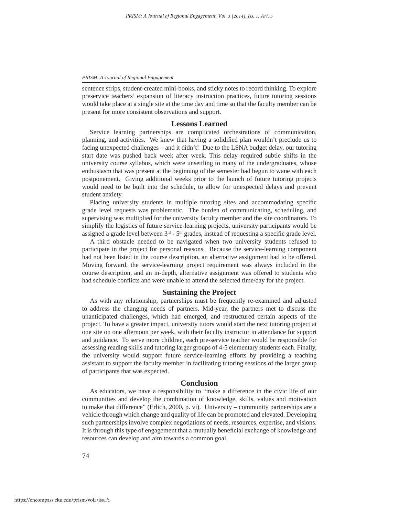sentence strips, student-created mini-books, and sticky notes to record thinking. To explore preservice teachers' expansion of literacy instruction practices, future tutoring sessions would take place at a single site at the time day and time so that the faculty member can be present for more consistent observations and support.

# **Lessons Learned**

Service learning partnerships are complicated orchestrations of communication, planning, and activities. We knew that having a solidified plan wouldn't preclude us to facing unexpected challenges – and it didn't! Due to the LSNA budget delay, our tutoring start date was pushed back week after week. This delay required subtle shifts in the university course syllabus, which were unsettling to many of the undergraduates, whose enthusiasm that was present at the beginning of the semester had begun to wane with each postponement. Giving additional weeks prior to the launch of future tutoring projects would need to be built into the schedule, to allow for unexpected delays and prevent student anxiety.

Placing university students in multiple tutoring sites and accommodating specific grade level requests was problematic. The burden of communicating, scheduling, and supervising was multiplied for the university faculty member and the site coordinators. To simplify the logistics of future service-learning projects, university participants would be assigned a grade level between  $3<sup>rd</sup>$  -  $5<sup>th</sup>$  grades, instead of requesting a specific grade level.

A third obstacle needed to be navigated when two university students refused to participate in the project for personal reasons. Because the service-learning component had not been listed in the course description, an alternative assignment had to be offered. Moving forward, the service-learning project requirement was always included in the course description, and an in-depth, alternative assignment was offered to students who had schedule conflicts and were unable to attend the selected time/day for the project.

# **Sustaining the Project**

As with any relationship, partnerships must be frequently re-examined and adjusted to address the changing needs of partners. Mid-year, the partners met to discuss the unanticipated challenges, which had emerged, and restructured certain aspects of the project. To have a greater impact, university tutors would start the next tutoring project at one site on one afternoon per week, with their faculty instructor in attendance for support and guidance. To serve more children, each pre-service teacher would be responsible for assessing reading skills and tutoring larger groups of 4-5 elementary students each. Finally, the university would support future service-learning efforts by providing a teaching assistant to support the faculty member in facilitating tutoring sessions of the larger group of participants that was expected.

## **Conclusion**

As educators, we have a responsibility to "make a difference in the civic life of our communities and develop the combination of knowledge, skills, values and motivation to make that difference" (Erlich, 2000, p. vi). University – community partnerships are a vehicle through which change and quality of life can be promoted and elevated. Developing such partnerships involve complex negotiations of needs, resources, expertise, and visions. It is through this type of engagement that a mutually beneficial exchange of knowledge and resources can develop and aim towards a common goal.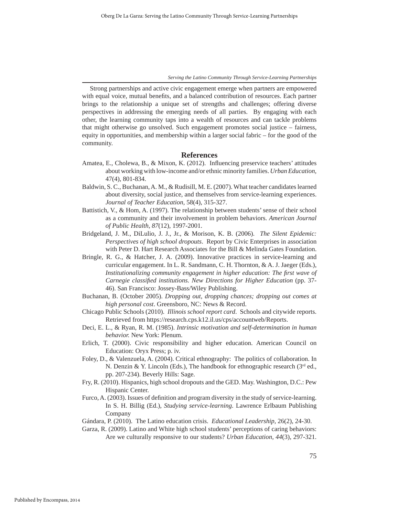Strong partnerships and active civic engagement emerge when partners are empowered with equal voice, mutual benefits, and a balanced contribution of resources. Each partner brings to the relationship a unique set of strengths and challenges; offering diverse perspectives in addressing the emerging needs of all parties. By engaging with each other, the learning community taps into a wealth of resources and can tackle problems that might otherwise go unsolved. Such engagement promotes social justice – fairness, equity in opportunities, and membership within a larger social fabric – for the good of the community.

# **References**

- Amatea, E., Cholewa, B., & Mixon, K. (2012). Influencing preservice teachers' attitudes about working with low-income and/or ethnic minority families. *Urban Education,*  47(4), 801-834.
- Baldwin, S. C., Buchanan, A. M., & Rudisill, M. E. (2007). What teacher candidates learned about diversity, social justice, and themselves from service-learning experiences. *Journal of Teacher Education*, 58(4), 315-327.
- Battistich, V., & Hom, A. (1997). The relationship between students' sense of their school as a community and their involvement in problem behaviors. *American Journal of Public Health, 87*(12), 1997-2001.
- Bridgeland, J. M., DiLulio, J. J., Jr., & Morison, K. B. (2006). *The Silent Epidemic: Perspectives of high school dropouts*. Report by Civic Enterprises in association with Peter D. Hart Research Associates for the Bill & Melinda Gates Foundation.
- Bringle, R. G., & Hatcher, J. A. (2009). Innovative practices in service-learning and curricular engagement. In L. R. Sandmann, C. H. Thornton, & A. J. Jaeger (Eds.), *Institutionalizing community engagement in higher education: The first wave of Carnegie classifi ed institutions. New Directions for Higher Education* (pp. 37- 46). San Francisco: Jossey-Bass/Wiley Publishing.
- Buchanan, B. (October 2005). *Dropping out, dropping chances; dropping out comes at high personal cost*. Greensboro, NC: News & Record.
- Chicago Public Schools (2010). *Illinois school report card*. Schools and citywide reports. Retrieved from https://research.cps.k12.il.us/cps/accountweb/Reports.
- Deci, E. L., & Ryan, R. M. (1985). *Intrinsic motivation and self-determination in human behavior.* New York: Plenum.
- Erlich, T. (2000). Civic responsibility and higher education. American Council on Education: Oryx Press; p. iv.
- Foley, D., & Valenzuela, A. (2004). Critical ethnography: The politics of collaboration. In N. Denzin & Y. Lincoln (Eds.), The handbook for ethnographic research ( $3<sup>rd</sup>$  ed., pp. 207-234). Beverly Hills: Sage.
- Fry, R. (2010). Hispanics, high school dropouts and the GED. May. Washington, D.C.: Pew Hispanic Center.
- Furco, A. (2003). Issues of definition and program diversity in the study of service-learning. In S. H. Billig (Ed.), *Studying service-learning*. Lawrence Erlbaum Publishing Company
- Gándara, P. (2010). The Latino education crisis. *Educational Leadership*, 26(2), 24-30.
- Garza, R. (2009). Latino and White high school students' perceptions of caring behaviors: Are we culturally responsive to our students? *Urban Education, 44*(3), 297-321.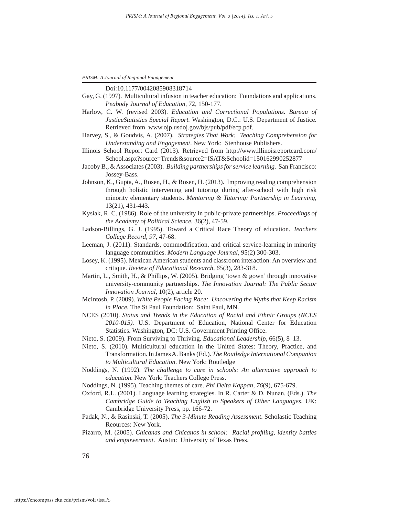Doi:10.1177/0042085908318714

- Gay, G. (1997). Multicultural infusion in teacher education: Foundations and applications. *Peabody Journal of Education,* 72, 150-177.
- Harlow, C. W. (revised 2003). *Education and Correctional Populations. Bureau of JusticeStatistics Special Report.* Washington, D.C.: U.S. Department of Justice. Retrieved fromwww.ojp.usdoj.gov/bjs/pub/pdf/ecp.pdf.
- Harvey, S., & Goudvis, A. (2007). *Strategies That Work: Teaching Comprehension for Understanding and Engagement*. New York: Stenhouse Publishers.
- Illinois School Report Card (2013). Retrieved from http://www.illinoisreportcard.com/ School.aspx?source=Trends&source2=ISAT&Schoolid=150162990252877
- Jacoby B., & Associates (2003). *Building partnerships for service learning*. San Francisco: Jossey-Bass.
- Johnson, K., Gupta, A., Rosen, H., & Rosen, H. (2013). Improving reading comprehension through holistic intervening and tutoring during after-school with high risk minority elementary students. *Mentoring & Tutoring: Partnership in Learning*, 13(21), 431-443.
- Kysiak, R. C. (1986). Role of the university in public-private partnerships. *Proceedings of the Academy of Political Science*, 36(2), 47-59.
- Ladson-Billings, G. J. (1995). Toward a Critical Race Theory of education. *Teachers College Record, 97*, 47-68.
- Leeman, J. (2011). Standards, commodification, and critical service-learning in minority language communities. *Modern Language Journal*, 95(2) 300-303.
- Losey, K. (1995). Mexican American students and classroom interaction: An overview and critique. *Review of Educational Research, 65*(3), 283-318.
- Martin, L., Smith, H., & Phillips, W. (2005). Bridging 'town & gown' through innovative university-community partnerships. *The Innovation Journal: The Public Sector Innovation Journal*, 10(2), article 20.
- McIntosh, P. (2009). *White People Facing Race: Uncovering the Myths that Keep Racism in Place.* The St Paul Foundation: Saint Paul, MN.
- NCES (2010). *Status and Trends in the Education of Racial and Ethnic Groups (NCES 2010-015).* U.S. Department of Education, National Center for Education Statistics. Washington, DC: U.S. Government Printing Office.
- Nieto, S. (2009). From Surviving to Thriving. *Educational Leadership,* 66(5), 8–13.
- Nieto, S. (2010). Multicultural education in the United States: Theory, Practice, and Transformation. In James A. Banks (Ed.). *The Routledge International Companion to Multicultural Education*. New York: Routledge
- Noddings, N. (1992). *The challenge to care in schools: An alternative approach to education.* New York: Teachers College Press.
- Noddings, N. (1995). Teaching themes of care. *Phi Delta Kappan, 76*(9), 675-679.
- Oxford, R.L. (2001). Language learning strategies. In R. Carter & D. Nunan. (Eds.). *The Cambridge Guide to Teaching English to Speakers of Other Languages*. UK: Cambridge University Press, pp. 166-72.
- Padak, N., & Rasinski, T. (2005). *The 3-Minute Reading Assessment*. Scholastic Teaching Reources: New York.
- Pizarro, M. (2005). *Chicanas and Chicanos in school: Racial profiling, identity battles and empowerment*. Austin: University of Texas Press.

76